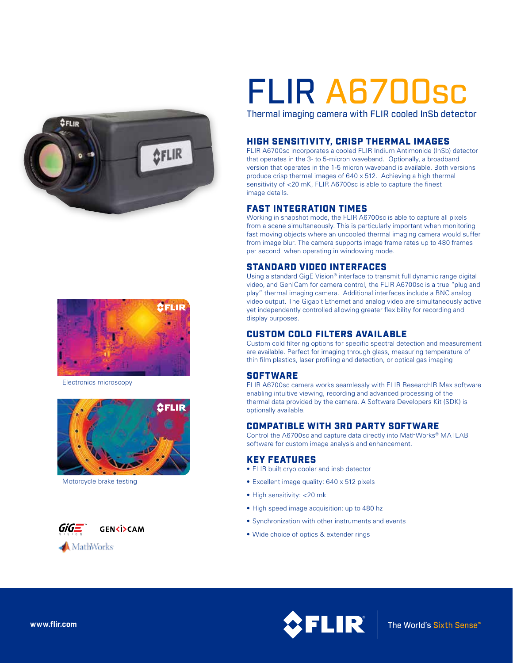



Electronics microscopy



Motorcycle brake testing



# FLIR A6700sc

Thermal imaging camera with FLIR cooled InSb detector

#### HIGH SENSITIVITY, CRISP THERMAL IMAGES

FLIR A6700sc incorporates a cooled FLIR Indium Antimonide (InSb) detector that operates in the 3- to 5-micron waveband. Optionally, a broadband version that operates in the 1-5 micron waveband is available. Both versions produce crisp thermal images of 640 x 512. Achieving a high thermal sensitivity of <20 mK, FLIR A6700sc is able to capture the finest image details.

#### FAST INTEGRATION TIMES

Working in snapshot mode, the FLIR A6700sc is able to capture all pixels from a scene simultaneously. This is particularly important when monitoring fast moving objects where an uncooled thermal imaging camera would suffer from image blur. The camera supports image frame rates up to 480 frames per second when operating in windowing mode.

#### STANDARD VIDEO INTERFACES

Using a standard GigE Vision® interface to transmit full dynamic range digital video, and GenICam for camera control, the FLIR A6700sc is a true "plug and play" thermal imaging camera. Additional interfaces include a BNC analog video output. The Gigabit Ethernet and analog video are simultaneously active yet independently controlled allowing greater flexibility for recording and display purposes.

### CUSTOM COLD FILTERS AVAILABLE

Custom cold filtering options for specific spectral detection and measurement are available. Perfect for imaging through glass, measuring temperature of thin film plastics, laser profiling and detection, or optical gas imaging

#### **SOFTWARE**

FLIR A6700sc camera works seamlessly with FLIR ResearchIR Max software enabling intuitive viewing, recording and advanced processing of the thermal data provided by the camera. A Software Developers Kit (SDK) is optionally available.

### COMPATIBLE WITH 3RD PARTY SOFTWARE

Control the A6700sc and capture data directly into MathWorks® MATLAB software for custom image analysis and enhancement.

#### KEY FEATURES

- FLIR built cryo cooler and insb detector
- Excellent image quality: 640 x 512 pixels
- High sensitivity: <20 mk
- High speed image acquisition: up to 480 hz
- Synchronization with other instruments and events
- Wide choice of optics & extender rings